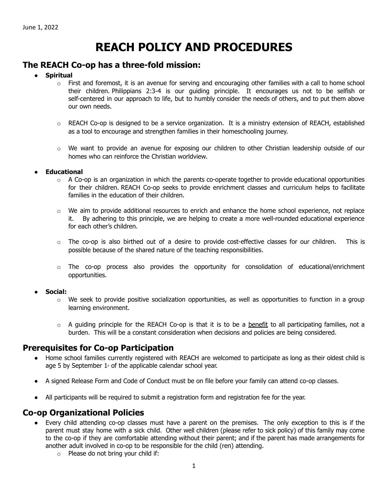# **REACH POLICY AND PROCEDURES**

### **The REACH Co-op has a three-fold mission:**

#### ● **Spiritual**

- $\circ$  First and foremost, it is an avenue for serving and encouraging other families with a call to home school their children. Philippians 2:3-4 is our guiding principle. It encourages us not to be selfish or self-centered in our approach to life, but to humbly consider the needs of others, and to put them above our own needs.
- $\circ$  REACH Co-op is designed to be a service organization. It is a ministry extension of REACH, established as a tool to encourage and strengthen families in their homeschooling journey.
- $\circ$  We want to provide an avenue for exposing our children to other Christian leadership outside of our homes who can reinforce the Christian worldview.

#### **Educational**

- $\circ$  A Co-op is an organization in which the parents co-operate together to provide educational opportunities for their children. REACH Co-op seeks to provide enrichment classes and curriculum helps to facilitate families in the education of their children.
- $\circ$  We aim to provide additional resources to enrich and enhance the home school experience, not replace it. By adhering to this principle, we are helping to create a more well-rounded educational experience for each other's children.
- $\circ$  The co-op is also birthed out of a desire to provide cost-effective classes for our children. This is possible because of the shared nature of the teaching responsibilities.
- $\circ$  The co-op process also provides the opportunity for consolidation of educational/enrichment opportunities.

#### ● **Social:**

- o We seek to provide positive socialization opportunities, as well as opportunities to function in a group learning environment.
- $\circ$  A guiding principle for the REACH Co-op is that it is to be a benefit to all participating families, not a burden. This will be a constant consideration when decisions and policies are being considered.

# **Prerequisites for Co-op Participation**

- Home school families currently registered with REACH are welcomed to participate as long as their oldest child is age 5 by September  $1$ <sup> $\star$ </sup> of the applicable calendar school year.
- A signed Release Form and Code of Conduct must be on file before your family can attend co-op classes.
- All participants will be required to submit a registration form and registration fee for the year.

# **Co-op Organizational Policies**

- Every child attending co-op classes must have a parent on the premises. The only exception to this is if the parent must stay home with a sick child. Other well children (please refer to sick policy) of this family may come to the co-op if they are comfortable attending without their parent; and if the parent has made arrangements for another adult involved in co-op to be responsible for the child (ren) attending.
	- o Please do not bring your child if: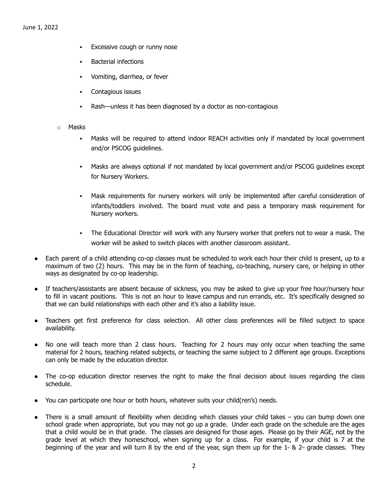- **Excessive cough or runny nose**
- **Bacterial infections**
- Vomiting, diarrhea, or fever
- Contagious issues
- Rash—unless it has been diagnosed by a doctor as non-contagious
- o Masks
	- Masks will be required to attend indoor REACH activities only if mandated by local government and/or PSCOG guidelines.
	- Masks are always optional if not mandated by local government and/or PSCOG guidelines except for Nursery Workers.
	- Mask requirements for nursery workers will only be implemented after careful consideration of infants/toddlers involved. The board must vote and pass a temporary mask requirement for Nursery workers.
	- The Educational Director will work with any Nursery worker that prefers not to wear a mask. The worker will be asked to switch places with another classroom assistant.
- Each parent of a child attending co-op classes must be scheduled to work each hour their child is present, up to a maximum of two (2) hours. This may be in the form of teaching, co-teaching, nursery care, or helping in other ways as designated by co-op leadership.
- If teachers/assistants are absent because of sickness, you may be asked to give up your free hour/nursery hour to fill in vacant positions. This is not an hour to leave campus and run errands, etc. It's specifically designed so that we can build relationships with each other and it's also a liability issue.
- Teachers get first preference for class selection. All other class preferences will be filled subject to space availability.
- No one will teach more than 2 class hours. Teaching for 2 hours may only occur when teaching the same material for 2 hours, teaching related subjects, or teaching the same subject to 2 different age groups. Exceptions can only be made by the education director.
- The co-op education director reserves the right to make the final decision about issues regarding the class schedule.
- You can participate one hour or both hours, whatever suits your child(ren's) needs.
- There is a small amount of flexibility when deciding which classes your child takes  $-$  you can bump down one school grade when appropriate, but you may not go up a grade. Under each grade on the schedule are the ages that a child would be in that grade. The classes are designed for those ages. Please go by their AGE, not by the grade level at which they homeschool, when signing up for a class. For example, if your child is 7 at the beginning of the year and will turn 8 by the end of the year, sign them up for the 1<sup>s</sup> & 2<sup> $\omega$ </sup> grade classes. They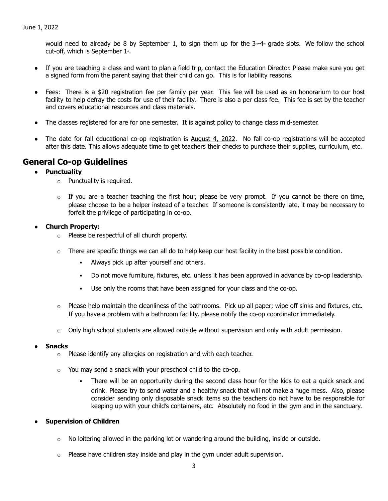would need to already be 8 by September 1, to sign them up for the  $3-4$  grade slots. We follow the school cut-off, which is September  $1<sup>*</sup>$ .

- If you are teaching a class and want to plan a field trip, contact the Education Director. Please make sure you get a signed form from the parent saying that their child can go. This is for liability reasons.
- Fees: There is a \$20 registration fee per family per year. This fee will be used as an honorarium to our host facility to help defray the costs for use of their facility. There is also a per class fee. This fee is set by the teacher and covers educational resources and class materials.
- The classes registered for are for one semester. It is against policy to change class mid-semester.
- The date for fall educational co-op registration is August 4, 2022. No fall co-op registrations will be accepted after this date. This allows adequate time to get teachers their checks to purchase their supplies, curriculum, etc.

### **General Co-op Guidelines**

- **● Punctuality**
	- o Punctuality is required.
	- $\circ$  If you are a teacher teaching the first hour, please be very prompt. If you cannot be there on time, please choose to be a helper instead of a teacher. If someone is consistently late, it may be necessary to forfeit the privilege of participating in co-op.

#### ● **Church Property:**

- o Please be respectful of all church property.
- $\circ$  There are specific things we can all do to help keep our host facility in the best possible condition.
	- Always pick up after yourself and others.
	- Do not move furniture, fixtures, etc. unless it has been approved in advance by co-op leadership.
	- Use only the rooms that have been assigned for your class and the co-op.
- $\circ$  Please help maintain the cleanliness of the bathrooms. Pick up all paper; wipe off sinks and fixtures, etc. If you have a problem with a bathroom facility, please notify the co-op coordinator immediately.
- $\circ$  Only high school students are allowed outside without supervision and only with adult permission.

#### **● Snacks**

- o Please identify any allergies on registration and with each teacher.
- o You may send a snack with your preschool child to the co-op.
	- There will be an opportunity during the second class hour for the kids to eat a quick snack and drink. Please try to send water and a healthy snack that will not make a huge mess. Also, please consider sending only disposable snack items so the teachers do not have to be responsible for keeping up with your child's containers, etc. Absolutely no food in the gym and in the sanctuary.

#### **● Supervision of Children**

- $\circ$  No loitering allowed in the parking lot or wandering around the building, inside or outside.
- $\circ$  Please have children stay inside and play in the gym under adult supervision.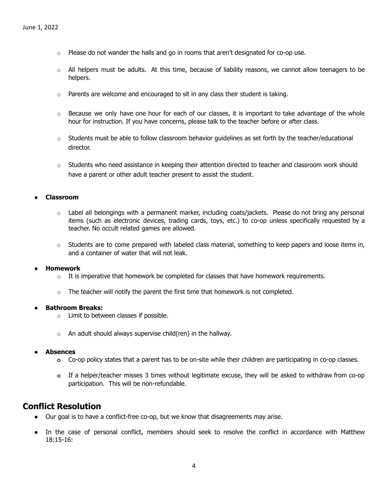- $\circ$  Please do not wander the halls and go in rooms that aren't designated for co-op use.
- $\circ$  All helpers must be adults. At this time, because of liability reasons, we cannot allow teenagers to be helpers.
- o Parents are welcome and encouraged to sit in any class their student is taking.
- $\circ$  Because we only have one hour for each of our classes, it is important to take advantage of the whole hour for instruction. If you have concerns, please talk to the teacher before or after class.
- $\circ$  Students must be able to follow classroom behavior guidelines as set forth by the teacher/educational director.
- $\circ$  Students who need assistance in keeping their attention directed to teacher and classroom work should have a parent or other adult teacher present to assist the student.

#### **● Classroom**

- $\circ$  Label all belongings with a permanent marker, including coats/jackets. Please do not bring any personal items (such as electronic devices, trading cards, toys, etc.) to co-op unless specifically requested by a teacher. No occult related games are allowed.
- $\circ$  Students are to come prepared with labeled class material, something to keep papers and loose items in, and a container of water that will not leak.

#### **● Homework**

- $\circ$  It is imperative that homework be completed for classes that have homework requirements.
- $\circ$  The teacher will notify the parent the first time that homework is not completed.

#### **● Bathroom Breaks:**

- o Limit to between classes if possible.
- $\circ$  An adult should always supervise child(ren) in the hallway.
- **● Absences**
	- **o** Co-op policy states that a parent has to be on-site while their children are participating in co-op classes.
	- **o** If a helper/teacher misses 3 times without legitimate excuse, they will be asked to withdraw from co-op participation. This will be non-refundable.

# **Conflict Resolution**

- Our goal is to have a conflict-free co-op, but we know that disagreements may arise.
- In the case of personal conflict, members should seek to resolve the conflict in accordance with Matthew 18:15-16: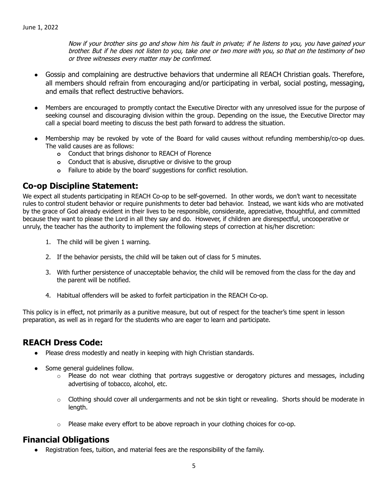Now if your brother sins go and show him his fault in private; if he listens to you, you have gained your brother. But if he does not listen to you, take one or two more with you, so that on the testimony of two or three witnesses every matter may be confirmed.

- Gossip and complaining are destructive behaviors that undermine all REACH Christian goals. Therefore, all members should refrain from encouraging and/or participating in verbal, social posting, messaging, and emails that reflect destructive behaviors.
- Members are encouraged to promptly contact the Executive Director with any unresolved issue for the purpose of seeking counsel and discouraging division within the group. Depending on the issue, the Executive Director may call a special board meeting to discuss the best path forward to address the situation.
- **●** Membership may be revoked by vote of the Board for valid causes without refunding membership/co-op dues. The valid causes are as follows:
	- **o** Conduct that brings dishonor to REACH of Florence
	- **o** Conduct that is abusive, disruptive or divisive to the group
	- **o** Failure to abide by the board' suggestions for conflict resolution.

# **Co-op Discipline Statement:**

We expect all students participating in REACH Co-op to be self-governed. In other words, we don't want to necessitate rules to control student behavior or require punishments to deter bad behavior. Instead, we want kids who are motivated by the grace of God already evident in their lives to be responsible, considerate, appreciative, thoughtful, and committed because they want to please the Lord in all they say and do. However, if children are disrespectful, uncooperative or unruly, the teacher has the authority to implement the following steps of correction at his/her discretion:

- 1. The child will be given 1 warning.
- 2. If the behavior persists, the child will be taken out of class for 5 minutes.
- 3. With further persistence of unacceptable behavior, the child will be removed from the class for the day and the parent will be notified.
- 4. Habitual offenders will be asked to forfeit participation in the REACH Co-op.

This policy is in effect, not primarily as a punitive measure, but out of respect for the teacher's time spent in lesson preparation, as well as in regard for the students who are eager to learn and participate.

# **REACH Dress Code:**

- Please dress modestly and neatly in keeping with high Christian standards.
- Some general guidelines follow.
	- $\circ$  Please do not wear clothing that portrays suggestive or derogatory pictures and messages, including advertising of tobacco, alcohol, etc.
	- $\circ$  Clothing should cover all undergarments and not be skin tight or revealing. Shorts should be moderate in length.
	- $\circ$  Please make every effort to be above reproach in your clothing choices for co-op.

# **Financial Obligations**

● Registration fees, tuition, and material fees are the responsibility of the family.